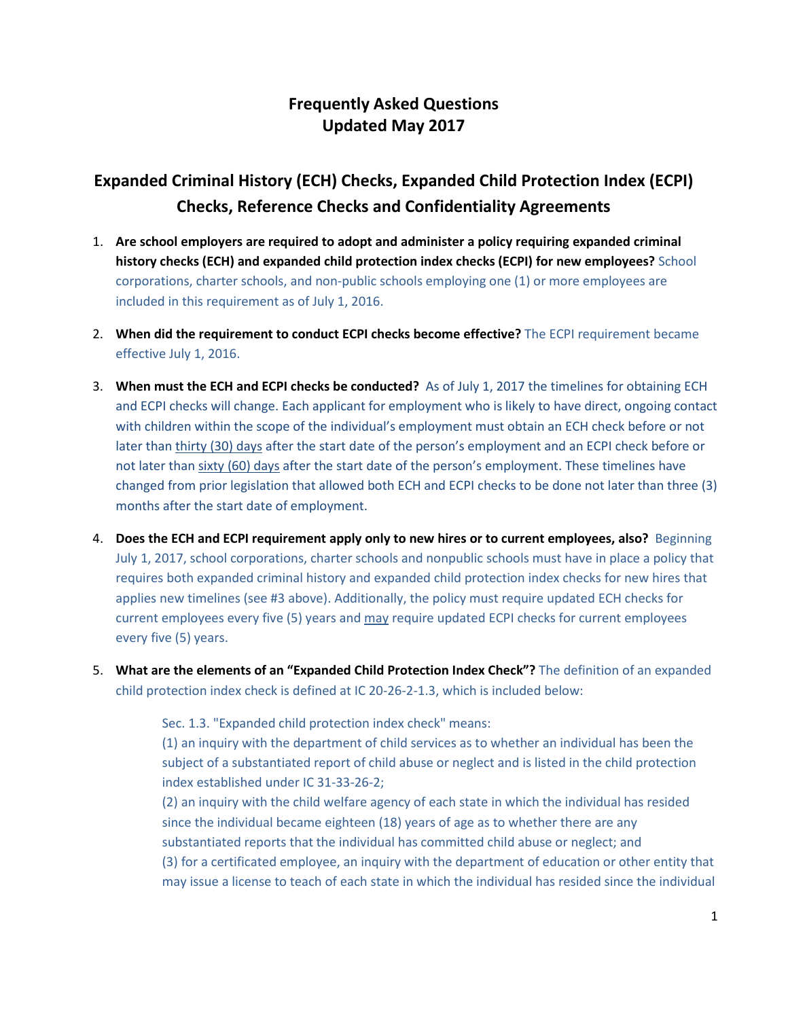## **Frequently Asked Questions Updated May 2017**

## **Expanded Criminal History (ECH) Checks, Expanded Child Protection Index (ECPI) Checks, Reference Checks and Confidentiality Agreements**

- 1. **Are school employers are required to adopt and administer a policy requiring expanded criminal history checks (ECH) and expanded child protection index checks (ECPI) for new employees?** School corporations, charter schools, and non-public schools employing one (1) or more employees are included in this requirement as of July 1, 2016.
- 2. **When did the requirement to conduct ECPI checks become effective?** The ECPI requirement became effective July 1, 2016.
- 3. **When must the ECH and ECPI checks be conducted?** As of July 1, 2017 the timelines for obtaining ECH and ECPI checks will change. Each applicant for employment who is likely to have direct, ongoing contact with children within the scope of the individual's employment must obtain an ECH check before or not later than thirty (30) days after the start date of the person's employment and an ECPI check before or not later than sixty (60) days after the start date of the person's employment. These timelines have changed from prior legislation that allowed both ECH and ECPI checks to be done not later than three (3) months after the start date of employment.
- 4. **Does the ECH and ECPI requirement apply only to new hires or to current employees, also?** Beginning July 1, 2017, school corporations, charter schools and nonpublic schools must have in place a policy that requires both expanded criminal history and expanded child protection index checks for new hires that applies new timelines (see #3 above). Additionally, the policy must require updated ECH checks for current employees every five (5) years and may require updated ECPI checks for current employees every five (5) years.
- 5. **What are the elements of an "Expanded Child Protection Index Check"?** The definition of an expanded child protection index check is defined at IC 20-26-2-1.3, which is included below:

Sec. 1.3. "Expanded child protection index check" means: (1) an inquiry with the department of child services as to whether an individual has been the subject of a substantiated report of child abuse or neglect and is listed in the child protection index established under IC 31-33-26-2;

(2) an inquiry with the child welfare agency of each state in which the individual has resided since the individual became eighteen (18) years of age as to whether there are any substantiated reports that the individual has committed child abuse or neglect; and (3) for a certificated employee, an inquiry with the department of education or other entity that may issue a license to teach of each state in which the individual has resided since the individual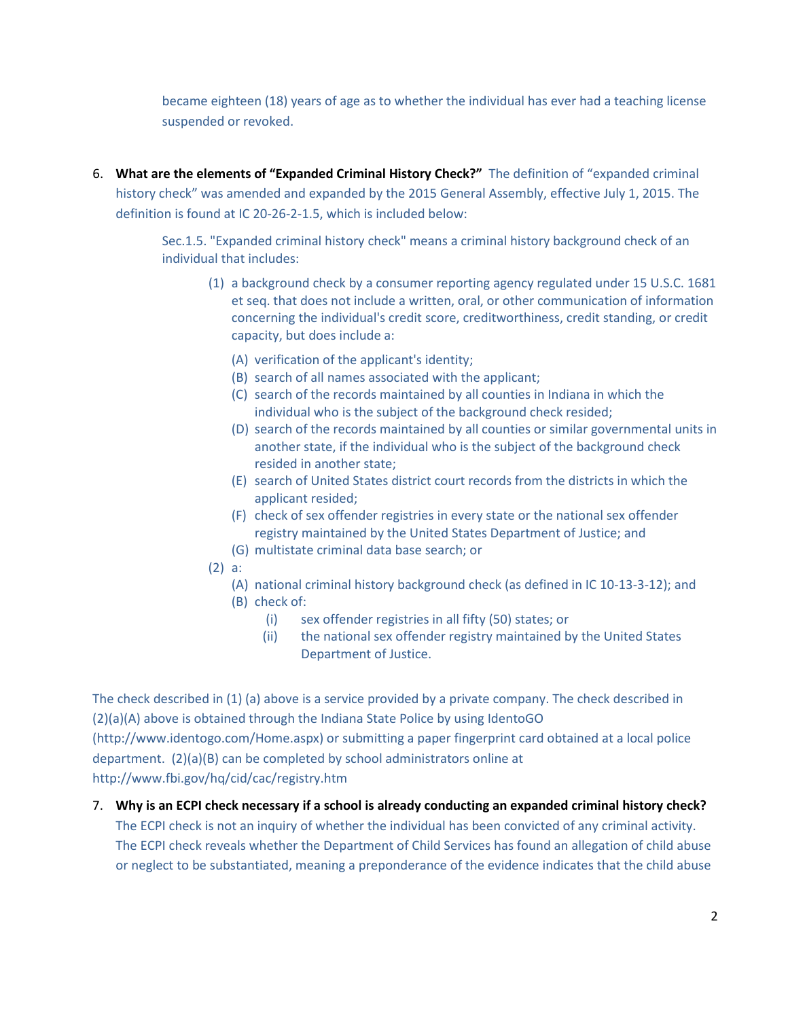became eighteen (18) years of age as to whether the individual has ever had a teaching license suspended or revoked.

6. **What are the elements of "Expanded Criminal History Check?"** The definition of "expanded criminal history check" was amended and expanded by the 2015 General Assembly, effective July 1, 2015. The definition is found at IC 20-26-2-1.5, which is included below:

> Sec.1.5. "Expanded criminal history check" means a criminal history background check of an individual that includes:

- (1) a background check by a consumer reporting agency regulated under 15 U.S.C. 1681 et seq. that does not include a written, oral, or other communication of information concerning the individual's credit score, creditworthiness, credit standing, or credit capacity, but does include a:
	- (A) verification of the applicant's identity;
	- (B) search of all names associated with the applicant;
	- (C) search of the records maintained by all counties in Indiana in which the individual who is the subject of the background check resided;
	- (D) search of the records maintained by all counties or similar governmental units in another state, if the individual who is the subject of the background check resided in another state;
	- (E) search of United States district court records from the districts in which the applicant resided;
	- (F) check of sex offender registries in every state or the national sex offender registry maintained by the United States Department of Justice; and
	- (G) multistate criminal data base search; or
- (2) a:
	- (A) national criminal history background check (as defined in IC 10-13-3-12); and
	- (B) check of:
		- (i) sex offender registries in all fifty (50) states; or
		- (ii) the national sex offender registry maintained by the United States Department of Justice.

The check described in (1) (a) above is a service provided by a private company. The check described in (2)(a)(A) above is obtained through the Indiana State Police by using IdentoGO

[\(http://www.identogo.com/Home.aspx\)](http://www.identogo.com/Home.aspx) or submitting a paper fingerprint card obtained at a local police department. (2)(a)(B) can be completed by school administrators online at <http://www.fbi.gov/hq/cid/cac/registry.htm>

7. **Why is an ECPI check necessary if a school is already conducting an expanded criminal history check?**  The ECPI check is not an inquiry of whether the individual has been convicted of any criminal activity. The ECPI check reveals whether the Department of Child Services has found an allegation of child abuse or neglect to be substantiated, meaning a preponderance of the evidence indicates that the child abuse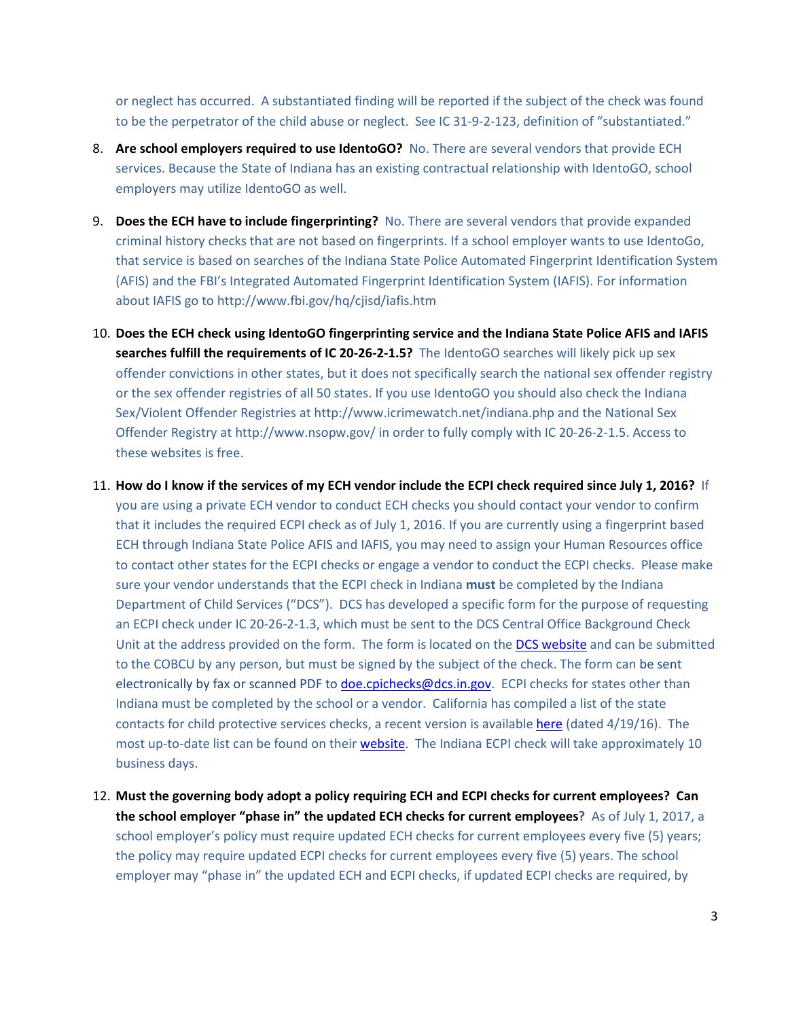or neglect has occurred. A substantiated finding will be reported if the subject of the check was found to be the perpetrator of the child abuse or neglect. See IC 31-9-2-123, definition of "substantiated."

- 8. **Are school employers required to use IdentoGO?** No. There are several vendors that provide ECH services. Because the State of Indiana has an existing contractual relationship with IdentoGO, school employers may utilize IdentoGO as well.
- 9. **Does the ECH have to include fingerprinting?** No. There are several vendors that provide expanded criminal history checks that are not based on fingerprints. If a school employer wants to use IdentoGo, that service is based on searches of the Indiana State Police Automated Fingerprint Identification System (AFIS) and the FBI's Integrated Automated Fingerprint Identification System (IAFIS). For information about IAFIS go t[o http://www.fbi.gov/hq/cjisd/iafis.htm](http://www.fbi.gov/hq/cjisd/iafis.htm)
- 10. **Does the ECH check using IdentoGO fingerprinting service and the Indiana State Police AFIS and IAFIS searches fulfill the requirements of IC 20-26-2-1.5?** The IdentoGO searches will likely pick up sex offender convictions in other states, but it does not specifically search the national sex offender registry or the sex offender registries of all 50 states. If you use IdentoGO you should also check the Indiana Sex/Violent Offender Registries at<http://www.icrimewatch.net/indiana.php> and the National Sex Offender Registry a[t http://www.nsopw.gov/](http://www.nsopw.gov/) in order to fully comply with IC 20-26-2-1.5. Access to these websites is free.
- 11. **How do I know if the services of my ECH vendor include the ECPI check required since July 1, 2016?** If you are using a private ECH vendor to conduct ECH checks you should contact your vendor to confirm that it includes the required ECPI check as of July 1, 2016. If you are currently using a fingerprint based ECH through Indiana State Police AFIS and IAFIS, you may need to assign your Human Resources office to contact other states for the ECPI checks or engage a vendor to conduct the ECPI checks. Please make sure your vendor understands that the ECPI check in Indiana **must** be completed by the Indiana Department of Child Services ("DCS"). DCS has developed a specific form for the purpose of requesting an ECPI check under IC 20-26-2-1.3, which must be sent to the DCS Central Office Background Check Unit at the address provided on the form. The form is located on the [DCS website](http://www.in.gov/dcs/2363.htm) and can be submitted to the COBCU by any person, but must be signed by the subject of the check. The form can be sent electronically by fax or scanned PDF to [doe.cpichecks@dcs.in.gov.](mailto:doe.cpichecks@dcs.in.gov) ECPI checks for states other than Indiana must be completed by the school or a vendor. California has compiled a list of the state contacts for child protective services checks, a recent version is availabl[e here](http://www.ccld.ca.gov/res/pdf/Revised%20AW_Contact_List.pdf) (dated 4/19/16). The most up-to-date list can be found on their [website.](http://www.ccld.ca.gov/AdamWalshI_2609.htm) The Indiana ECPI check will take approximately 10 business days.
- 12. **Must the governing body adopt a policy requiring ECH and ECPI checks for current employees? Can the school employer "phase in" the updated ECH checks for current employees?** As of July 1, 2017, a school employer's policy must require updated ECH checks for current employees every five (5) years; the policy may require updated ECPI checks for current employees every five (5) years. The school employer may "phase in" the updated ECH and ECPI checks, if updated ECPI checks are required, by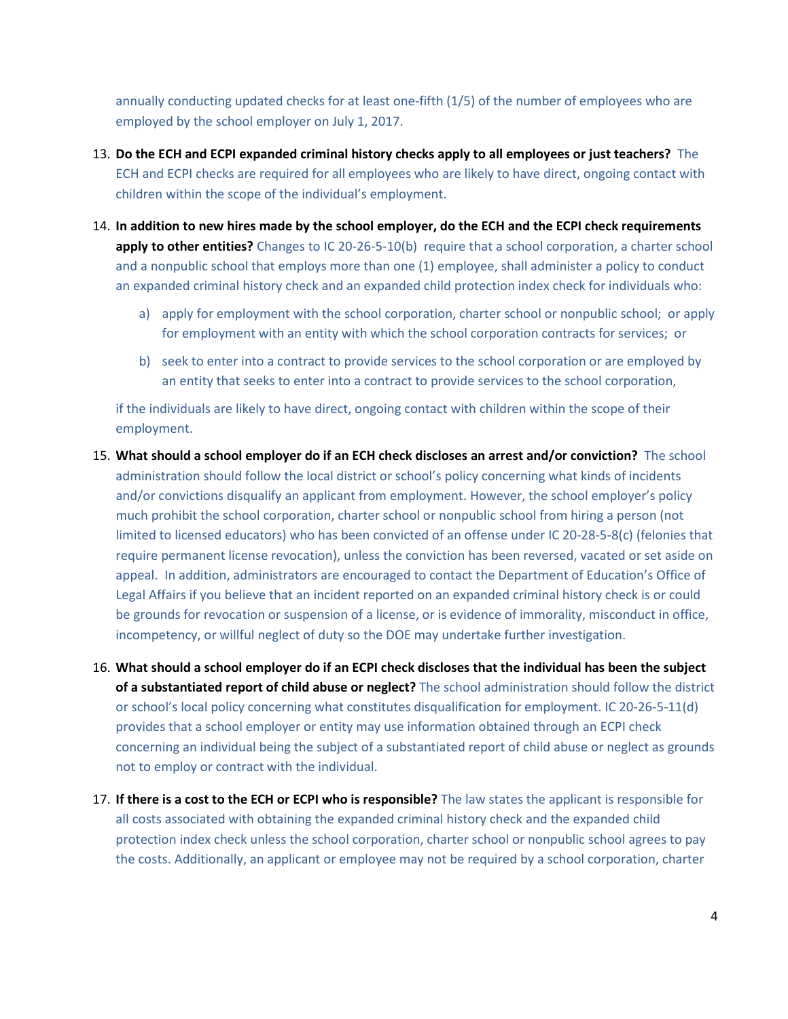annually conducting updated checks for at least one-fifth (1/5) of the number of employees who are employed by the school employer on July 1, 2017.

- 13. **Do the ECH and ECPI expanded criminal history checks apply to all employees or just teachers?** The ECH and ECPI checks are required for all employees who are likely to have direct, ongoing contact with children within the scope of the individual's employment.
- 14. **In addition to new hires made by the school employer, do the ECH and the ECPI check requirements apply to other entities?** Changes to IC 20-26-5-10(b) require that a school corporation, a charter school and a nonpublic school that employs more than one (1) employee, shall administer a policy to conduct an expanded criminal history check and an expanded child protection index check for individuals who:
	- a) apply for employment with the school corporation, charter school or nonpublic school; or apply for employment with an entity with which the school corporation contracts for services; or
	- b) seek to enter into a contract to provide services to the school corporation or are employed by an entity that seeks to enter into a contract to provide services to the school corporation,

if the individuals are likely to have direct, ongoing contact with children within the scope of their employment.

- 15. **What should a school employer do if an ECH check discloses an arrest and/or conviction?** The school administration should follow the local district or school's policy concerning what kinds of incidents and/or convictions disqualify an applicant from employment. However, the school employer's policy much prohibit the school corporation, charter school or nonpublic school from hiring a person (not limited to licensed educators) who has been convicted of an offense under IC 20-28-5-8(c) (felonies that require permanent license revocation), unless the conviction has been reversed, vacated or set aside on appeal. In addition, administrators are encouraged to contact the Department of Education's Office of Legal Affairs if you believe that an incident reported on an expanded criminal history check is or could be grounds for revocation or suspension of a license, or is evidence of immorality, misconduct in office, incompetency, or willful neglect of duty so the DOE may undertake further investigation.
- 16. **What should a school employer do if an ECPI check discloses that the individual has been the subject of a substantiated report of child abuse or neglect?** The school administration should follow the district or school's local policy concerning what constitutes disqualification for employment. IC 20-26-5-11(d) provides that a school employer or entity may use information obtained through an ECPI check concerning an individual being the subject of a substantiated report of child abuse or neglect as grounds not to employ or contract with the individual.
- 17. **If there is a cost to the ECH or ECPI who is responsible?** The law states the applicant is responsible for all costs associated with obtaining the expanded criminal history check and the expanded child protection index check unless the school corporation, charter school or nonpublic school agrees to pay the costs. Additionally, an applicant or employee may not be required by a school corporation, charter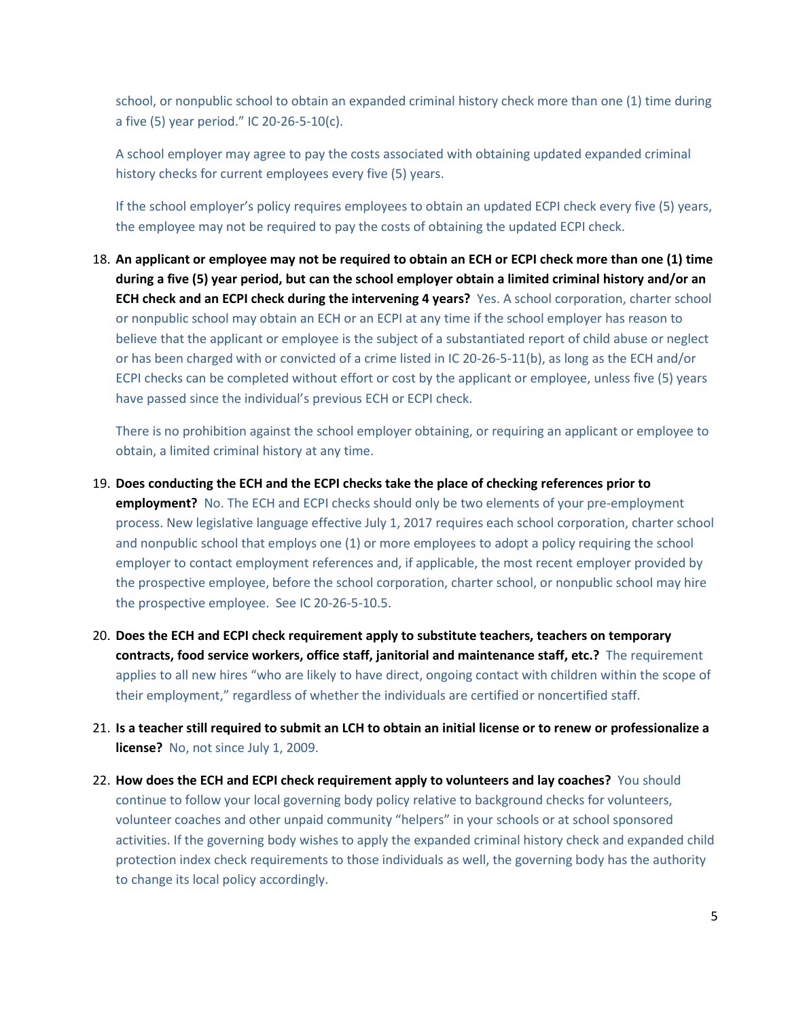school, or nonpublic school to obtain an expanded criminal history check more than one (1) time during a five (5) year period." IC 20-26-5-10(c).

A school employer may agree to pay the costs associated with obtaining updated expanded criminal history checks for current employees every five (5) years.

If the school employer's policy requires employees to obtain an updated ECPI check every five (5) years, the employee may not be required to pay the costs of obtaining the updated ECPI check.

18. **An applicant or employee may not be required to obtain an ECH or ECPI check more than one (1) time during a five (5) year period, but can the school employer obtain a limited criminal history and/or an ECH check and an ECPI check during the intervening 4 years?** Yes. A school corporation, charter school or nonpublic school may obtain an ECH or an ECPI at any time if the school employer has reason to believe that the applicant or employee is the subject of a substantiated report of child abuse or neglect or has been charged with or convicted of a crime listed in IC 20-26-5-11(b), as long as the ECH and/or ECPI checks can be completed without effort or cost by the applicant or employee, unless five (5) years have passed since the individual's previous ECH or ECPI check.

There is no prohibition against the school employer obtaining, or requiring an applicant or employee to obtain, a limited criminal history at any time.

- 19. **Does conducting the ECH and the ECPI checks take the place of checking references prior to employment?** No. The ECH and ECPI checks should only be two elements of your pre-employment process. New legislative language effective July 1, 2017 requires each school corporation, charter school and nonpublic school that employs one (1) or more employees to adopt a policy requiring the school employer to contact employment references and, if applicable, the most recent employer provided by the prospective employee, before the school corporation, charter school, or nonpublic school may hire the prospective employee. See IC 20-26-5-10.5.
- 20. **Does the ECH and ECPI check requirement apply to substitute teachers, teachers on temporary contracts, food service workers, office staff, janitorial and maintenance staff, etc.?** The requirement applies to all new hires "who are likely to have direct, ongoing contact with children within the scope of their employment," regardless of whether the individuals are certified or noncertified staff.
- 21. **Is a teacher still required to submit an LCH to obtain an initial license or to renew or professionalize a license?** No, not since July 1, 2009.
- 22. **How does the ECH and ECPI check requirement apply to volunteers and lay coaches?** You should continue to follow your local governing body policy relative to background checks for volunteers, volunteer coaches and other unpaid community "helpers" in your schools or at school sponsored activities. If the governing body wishes to apply the expanded criminal history check and expanded child protection index check requirements to those individuals as well, the governing body has the authority to change its local policy accordingly.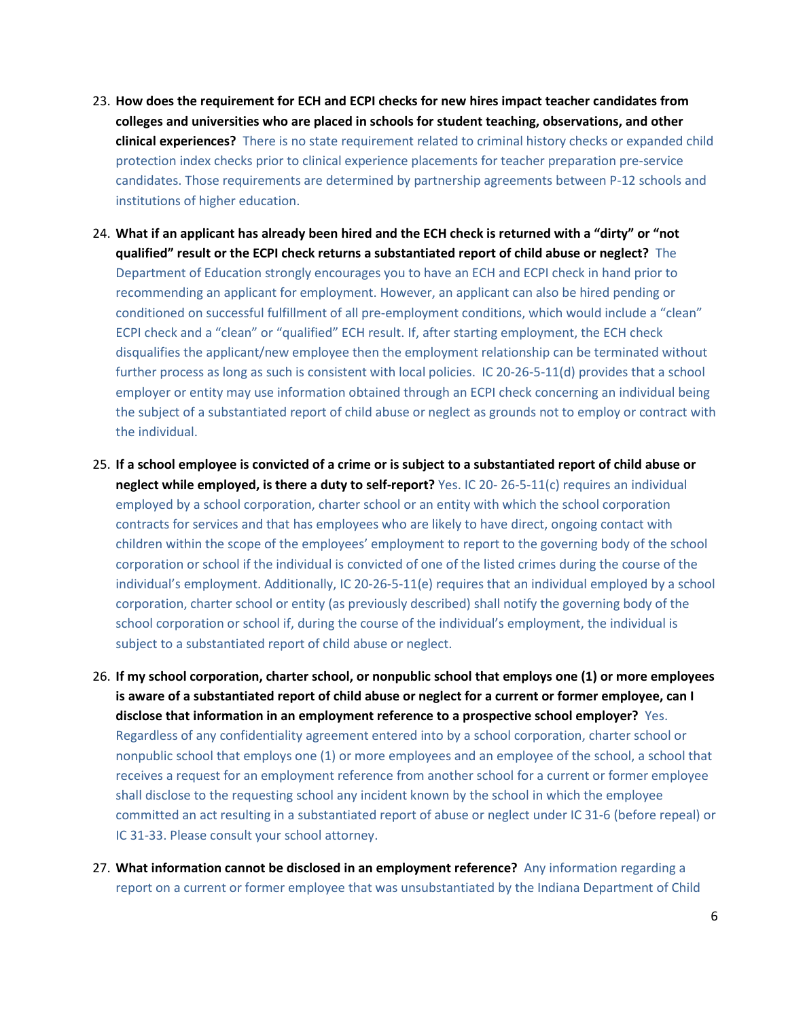- 23. **How does the requirement for ECH and ECPI checks for new hires impact teacher candidates from colleges and universities who are placed in schools for student teaching, observations, and other clinical experiences?** There is no state requirement related to criminal history checks or expanded child protection index checks prior to clinical experience placements for teacher preparation pre-service candidates. Those requirements are determined by partnership agreements between P-12 schools and institutions of higher education.
- 24. **What if an applicant has already been hired and the ECH check is returned with a "dirty" or "not qualified" result or the ECPI check returns a substantiated report of child abuse or neglect?** The Department of Education strongly encourages you to have an ECH and ECPI check in hand prior to recommending an applicant for employment. However, an applicant can also be hired pending or conditioned on successful fulfillment of all pre-employment conditions, which would include a "clean" ECPI check and a "clean" or "qualified" ECH result. If, after starting employment, the ECH check disqualifies the applicant/new employee then the employment relationship can be terminated without further process as long as such is consistent with local policies. IC 20-26-5-11(d) provides that a school employer or entity may use information obtained through an ECPI check concerning an individual being the subject of a substantiated report of child abuse or neglect as grounds not to employ or contract with the individual.
- 25. **If a school employee is convicted of a crime or is subject to a substantiated report of child abuse or neglect while employed, is there a duty to self-report?** Yes. IC 20- 26-5-11(c) requires an individual employed by a school corporation, charter school or an entity with which the school corporation contracts for services and that has employees who are likely to have direct, ongoing contact with children within the scope of the employees' employment to report to the governing body of the school corporation or school if the individual is convicted of one of the listed crimes during the course of the individual's employment. Additionally, IC 20-26-5-11(e) requires that an individual employed by a school corporation, charter school or entity (as previously described) shall notify the governing body of the school corporation or school if, during the course of the individual's employment, the individual is subject to a substantiated report of child abuse or neglect.
- 26. **If my school corporation, charter school, or nonpublic school that employs one (1) or more employees is aware of a substantiated report of child abuse or neglect for a current or former employee, can I disclose that information in an employment reference to a prospective school employer?** Yes. Regardless of any confidentiality agreement entered into by a school corporation, charter school or nonpublic school that employs one (1) or more employees and an employee of the school, a school that receives a request for an employment reference from another school for a current or former employee shall disclose to the requesting school any incident known by the school in which the employee committed an act resulting in a substantiated report of abuse or neglect under IC 31-6 (before repeal) or IC 31-33. Please consult your school attorney.
- 27. **What information cannot be disclosed in an employment reference?** Any information regarding a report on a current or former employee that was unsubstantiated by the Indiana Department of Child